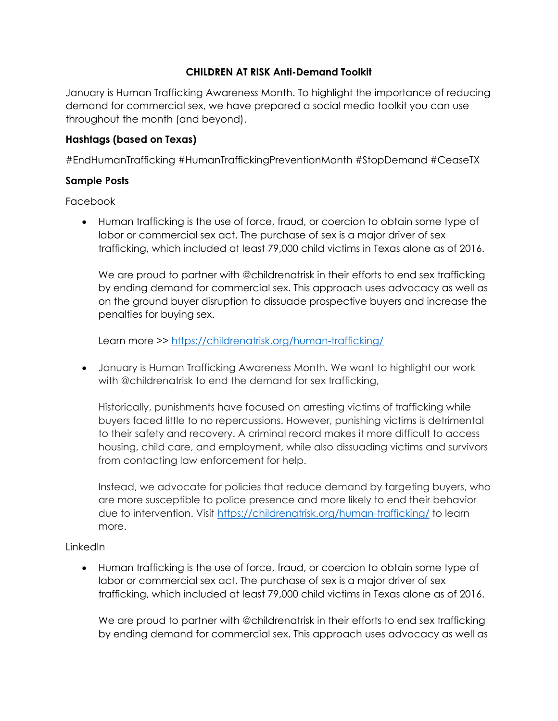## **CHILDREN AT RISK Anti-Demand Toolkit**

January is Human Trafficking Awareness Month. To highlight the importance of reducing demand for commercial sex, we have prepared a social media toolkit you can use throughout the month (and beyond).

# **Hashtags (based on Texas)**

#EndHumanTrafficking #HumanTraffickingPreventionMonth #StopDemand #CeaseTX

## **Sample Posts**

Facebook

• Human trafficking is the use of force, fraud, or coercion to obtain some type of labor or commercial sex act. The purchase of sex is a major driver of sex trafficking, which included at least 79,000 child victims in Texas alone as of 2016.

We are proud to partner with @childrenatrisk in their efforts to end sex trafficking by ending demand for commercial sex. This approach uses advocacy as well as on the ground buyer disruption to dissuade prospective buyers and increase the penalties for buying sex.

Learn more >><https://childrenatrisk.org/human-trafficking/>

• January is Human Trafficking Awareness Month. We want to highlight our work with @childrenatrisk to end the demand for sex trafficking,

Historically, punishments have focused on arresting victims of trafficking while buyers faced little to no repercussions. However, punishing victims is detrimental to their safety and recovery. A criminal record makes it more difficult to access housing, child care, and employment, while also dissuading victims and survivors from contacting law enforcement for help.

Instead, we advocate for policies that reduce demand by targeting buyers, who are more susceptible to police presence and more likely to end their behavior due to intervention. Visit<https://childrenatrisk.org/human-trafficking/> to learn more.

### **LinkedIn**

• Human trafficking is the use of force, fraud, or coercion to obtain some type of labor or commercial sex act. The purchase of sex is a major driver of sex trafficking, which included at least 79,000 child victims in Texas alone as of 2016.

We are proud to partner with @childrenatrisk in their efforts to end sex trafficking by ending demand for commercial sex. This approach uses advocacy as well as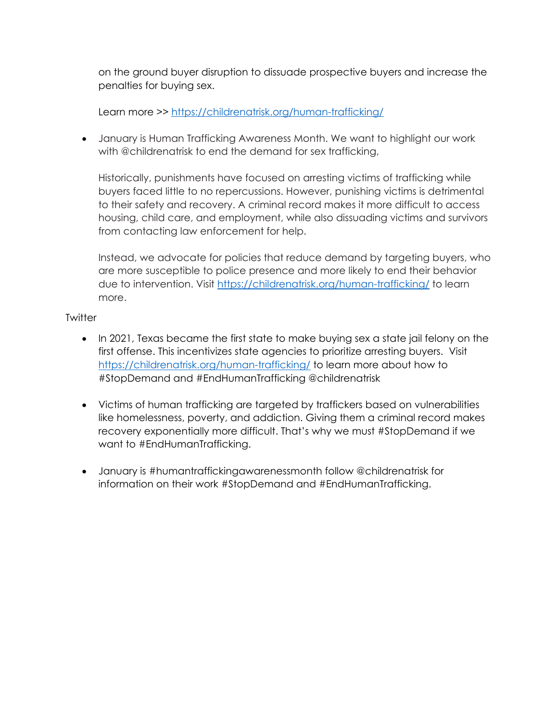on the ground buyer disruption to dissuade prospective buyers and increase the penalties for buying sex.

Learn more >><https://childrenatrisk.org/human-trafficking/>

• January is Human Trafficking Awareness Month. We want to highlight our work with @childrenatrisk to end the demand for sex trafficking,

Historically, punishments have focused on arresting victims of trafficking while buyers faced little to no repercussions. However, punishing victims is detrimental to their safety and recovery. A criminal record makes it more difficult to access housing, child care, and employment, while also dissuading victims and survivors from contacting law enforcement for help.

Instead, we advocate for policies that reduce demand by targeting buyers, who are more susceptible to police presence and more likely to end their behavior due to intervention. Visit<https://childrenatrisk.org/human-trafficking/> to learn more.

# **Twitter**

- In 2021, Texas became the first state to make buying sex a state jail felony on the first offense. This incentivizes state agencies to prioritize arresting buyers. Visit <https://childrenatrisk.org/human-trafficking/> to learn more about how to #StopDemand and #EndHumanTrafficking @childrenatrisk
- Victims of human trafficking are targeted by traffickers based on vulnerabilities like homelessness, poverty, and addiction. Giving them a criminal record makes recovery exponentially more difficult. That's why we must #StopDemand if we want to #EndHumanTrafficking.
- January is #humantraffickingawarenessmonth follow @childrenatrisk for information on their work #StopDemand and #EndHumanTrafficking.